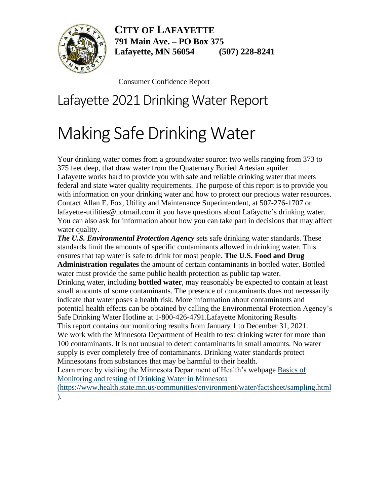

Consumer Confidence Report

# Lafayette 2021 Drinking Water Report

# Making Safe Drinking Water

Your drinking water comes from a groundwater source: two wells ranging from 373 to 375 feet deep, that draw water from the Quaternary Buried Artesian aquifer. Lafayette works hard to provide you with safe and reliable drinking water that meets federal and state water quality requirements. The purpose of this report is to provide you with information on your drinking water and how to protect our precious water resources. Contact Allan E. Fox, Utility and Maintenance Superintendent, at 507-276-1707 or lafayette-utilities@hotmail.com if you have questions about Lafayette's drinking water. You can also ask for information about how you can take part in decisions that may affect water quality.

*The U.S. Environmental Protection Agency* sets safe drinking water standards. These standards limit the amounts of specific contaminants allowed in drinking water. This ensures that tap water is safe to drink for most people. **The U.S. Food and Drug Administration regulates** the amount of certain contaminants in bottled water. Bottled water must provide the same public health protection as public tap water.

Drinking water, including **bottled water**, may reasonably be expected to contain at least small amounts of some contaminants. The presence of contaminants does not necessarily indicate that water poses a health risk. More information about contaminants and potential health effects can be obtained by calling the Environmental Protection Agency's Safe Drinking Water Hotline at 1-800-426-4791.Lafayette Monitoring Results This report contains our monitoring results from January 1 to December 31, 2021. We work with the Minnesota Department of Health to test drinking water for more than 100 contaminants. It is not unusual to detect contaminants in small amounts. No water supply is ever completely free of contaminants. Drinking water standards protect Minnesotans from substances that may be harmful to their health.

Learn more by visiting the Minnesota Department of Health's webpage [Basics of](https://www.health.state.mn.us/communities/environment/water/factsheet/sampling.html)  [Monitoring and testing of Drinking Water in Minnesota](https://www.health.state.mn.us/communities/environment/water/factsheet/sampling.html) 

[\(https://www.health.state.mn.us/communities/environment/water/factsheet/sampling.html](https://www.health.state.mn.us/communities/environment/water/factsheet/sampling.html) [\).](https://www.health.state.mn.us/communities/environment/water/factsheet/sampling.html)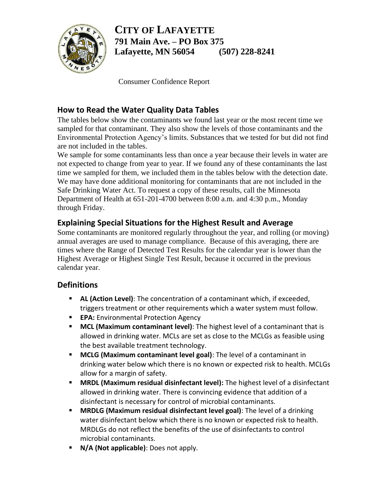

Consumer Confidence Report

## **How to Read the Water Quality Data Tables**

The tables below show the contaminants we found last year or the most recent time we sampled for that contaminant. They also show the levels of those contaminants and the Environmental Protection Agency's limits. Substances that we tested for but did not find are not included in the tables.

We sample for some contaminants less than once a year because their levels in water are not expected to change from year to year. If we found any of these contaminants the last time we sampled for them, we included them in the tables below with the detection date. We may have done additional monitoring for contaminants that are not included in the Safe Drinking Water Act. To request a copy of these results, call the Minnesota Department of Health at 651-201-4700 between 8:00 a.m. and 4:30 p.m., Monday through Friday.

## **Explaining Special Situations for the Highest Result and Average**

Some contaminants are monitored regularly throughout the year, and rolling (or moving) annual averages are used to manage compliance. Because of this averaging, there are times where the Range of Detected Test Results for the calendar year is lower than the Highest Average or Highest Single Test Result, because it occurred in the previous calendar year.

## **Definitions**

- **E** AL (Action Level): The concentration of a contaminant which, if exceeded, triggers treatment or other requirements which a water system must follow.
- **EPA:** Environmental Protection Agency
- **MCL (Maximum contaminant level)**: The highest level of a contaminant that is allowed in drinking water. MCLs are set as close to the MCLGs as feasible using the best available treatment technology.
- **MCLG (Maximum contaminant level goal)**: The level of a contaminant in drinking water below which there is no known or expected risk to health. MCLGs allow for a margin of safety.
- **MRDL (Maximum residual disinfectant level):** The highest level of a disinfectant allowed in drinking water. There is convincing evidence that addition of a disinfectant is necessary for control of microbial contaminants.
- **MRDLG (Maximum residual disinfectant level goal)**: The level of a drinking water disinfectant below which there is no known or expected risk to health. MRDLGs do not reflect the benefits of the use of disinfectants to control microbial contaminants.
- **N/A (Not applicable)**: Does not apply.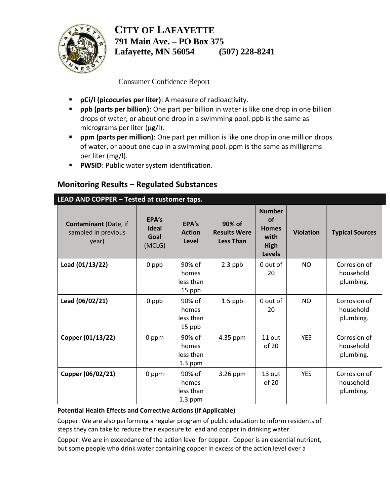

Consumer Confidence Report

- **pCi/l (picocuries per liter)**: A measure of radioactivity.
- **ppb (parts per billion)**: One part per billion in water is like one drop in one billion drops of water, or about one drop in a swimming pool. ppb is the same as micrograms per liter (μg/l).
- **ppm (parts per million)**: One part per million is like one drop in one million drops of water, or about one cup in a swimming pool. ppm is the same as milligrams per liter (mg/l).
- **PWSID: Public water system identification.**

## **Monitoring Results – Regulated Substances**

| LEAD AND COPPER - Tested at customer taps.                   |                                         |                                           |                                                   |                                                                                    |                  |                                        |  |
|--------------------------------------------------------------|-----------------------------------------|-------------------------------------------|---------------------------------------------------|------------------------------------------------------------------------------------|------------------|----------------------------------------|--|
| <b>Contaminant</b> (Date, if<br>sampled in previous<br>year) | EPA's<br><b>Ideal</b><br>Goal<br>(MCLG) | EPA's<br><b>Action</b><br>Level           | 90% of<br><b>Results Were</b><br><b>Less Than</b> | <b>Number</b><br><b>of</b><br><b>Homes</b><br>with<br><b>High</b><br><b>Levels</b> | <b>Violation</b> | <b>Typical Sources</b>                 |  |
| Lead (01/13/22)                                              | 0 ppb                                   | 90% of<br>homes<br>less than<br>15 ppb    | $2.3$ ppb                                         | 0 out of<br>20                                                                     | <b>NO</b>        | Corrosion of<br>household<br>plumbing. |  |
| Lead (06/02/21)                                              | 0 ppb                                   | 90% of<br>homes<br>less than<br>15 ppb    | $1.5$ ppb                                         | 0 out of<br>20                                                                     | NO.              | Corrosion of<br>household<br>plumbing. |  |
| Copper (01/13/22)                                            | 0 ppm                                   | 90% of<br>homes<br>less than<br>$1.3$ ppm | 4.35 ppm                                          | 11 out<br>of 20                                                                    | <b>YES</b>       | Corrosion of<br>household<br>plumbing. |  |
| Copper (06/02/21)                                            | 0 ppm                                   | 90% of<br>homes<br>less than<br>$1.3$ ppm | 3.26 ppm                                          | 13 out<br>of 20                                                                    | <b>YES</b>       | Corrosion of<br>household<br>plumbing. |  |

#### **Potential Health Effects and Corrective Actions (If Applicable)**

Copper: We are also performing a regular program of public education to inform residents of steps they can take to reduce their exposure to lead and copper in drinking water.

Copper: We are in exceedance of the action level for copper. Copper is an essential nutrient, but some people who drink water containing copper in excess of the action level over a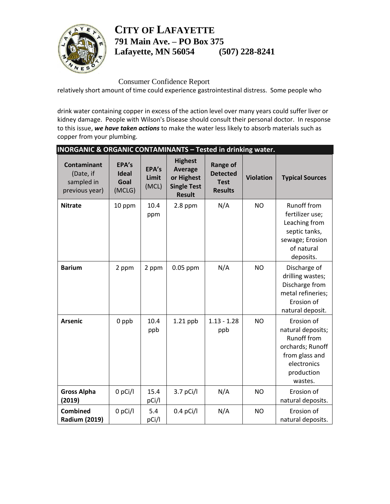

Consumer Confidence Report

relatively short amount of time could experience gastrointestinal distress. Some people who

drink water containing copper in excess of the action level over many years could suffer liver or kidney damage. People with Wilson's Disease should consult their personal doctor. In response to this issue, *we have taken actions* to make the water less likely to absorb materials such as copper from your plumbing.

| <b>INORGANIC &amp; ORGANIC CONTAMINANTS - Tested in drinking water.</b> |                                         |                         |                                                                                       |                                                                     |                  |                                                                                                                                     |  |  |
|-------------------------------------------------------------------------|-----------------------------------------|-------------------------|---------------------------------------------------------------------------------------|---------------------------------------------------------------------|------------------|-------------------------------------------------------------------------------------------------------------------------------------|--|--|
| <b>Contaminant</b><br>(Date, if<br>sampled in<br>previous year)         | EPA's<br><b>Ideal</b><br>Goal<br>(MCLG) | EPA's<br>Limit<br>(MCL) | <b>Highest</b><br><b>Average</b><br>or Highest<br><b>Single Test</b><br><b>Result</b> | <b>Range of</b><br><b>Detected</b><br><b>Test</b><br><b>Results</b> | <b>Violation</b> | <b>Typical Sources</b>                                                                                                              |  |  |
| <b>Nitrate</b>                                                          | 10 ppm                                  | 10.4<br>ppm             | $2.8$ ppm                                                                             | N/A                                                                 | <b>NO</b>        | <b>Runoff from</b><br>fertilizer use;<br>Leaching from<br>septic tanks,<br>sewage; Erosion<br>of natural<br>deposits.               |  |  |
| <b>Barium</b>                                                           | 2 ppm                                   | 2 ppm                   | $0.05$ ppm                                                                            | N/A                                                                 | <b>NO</b>        | Discharge of<br>drilling wastes;<br>Discharge from<br>metal refineries;<br>Erosion of<br>natural deposit.                           |  |  |
| <b>Arsenic</b>                                                          | 0 ppb                                   | 10.4<br>ppb             | $1.21$ ppb                                                                            | $1.13 - 1.28$<br>ppb                                                | <b>NO</b>        | Erosion of<br>natural deposits;<br><b>Runoff from</b><br>orchards; Runoff<br>from glass and<br>electronics<br>production<br>wastes. |  |  |
| <b>Gross Alpha</b><br>(2019)                                            | 0 pCi/l                                 | 15.4<br>pCi/l           | 3.7 pCi/l                                                                             | N/A                                                                 | <b>NO</b>        | Erosion of<br>natural deposits.                                                                                                     |  |  |
| <b>Combined</b><br><b>Radium (2019)</b>                                 | 0 pCi/l                                 | 5.4<br>pCi/l            | $0.4$ pCi/l                                                                           | N/A                                                                 | <b>NO</b>        | Erosion of<br>natural deposits.                                                                                                     |  |  |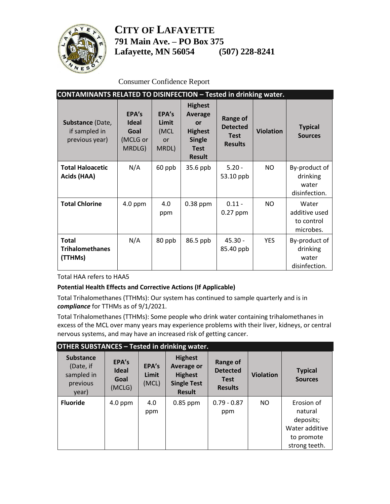

Consumer Confidence Report

| <b>CONTAMINANTS RELATED TO DISINFECTION - Tested in drinking water.</b> |                                                     |                                       |                                                                                                           |                                                                     |                  |                                                     |  |
|-------------------------------------------------------------------------|-----------------------------------------------------|---------------------------------------|-----------------------------------------------------------------------------------------------------------|---------------------------------------------------------------------|------------------|-----------------------------------------------------|--|
| Substance (Date,<br>if sampled in<br>previous year)                     | EPA's<br><b>Ideal</b><br>Goal<br>(MCLG or<br>MRDLG) | EPA's<br>Limit<br>(MCL<br>or<br>MRDL) | <b>Highest</b><br><b>Average</b><br>or<br><b>Highest</b><br><b>Single</b><br><b>Test</b><br><b>Result</b> | <b>Range of</b><br><b>Detected</b><br><b>Test</b><br><b>Results</b> | <b>Violation</b> | <b>Typical</b><br><b>Sources</b>                    |  |
| <b>Total Haloacetic</b><br>Acids (HAA)                                  | N/A                                                 | 60 ppb                                | 35.6 ppb                                                                                                  | $5.20 -$<br>53.10 ppb                                               | NO.              | By-product of<br>drinking<br>water<br>disinfection. |  |
| <b>Total Chlorine</b>                                                   | $4.0$ ppm                                           | 4.0<br>ppm                            | $0.38$ ppm                                                                                                | $0.11 -$<br>$0.27$ ppm                                              | NO.              | Water<br>additive used<br>to control<br>microbes.   |  |
| <b>Total</b><br><b>Trihalomethanes</b><br>(TTHMs)                       | N/A                                                 | 80 ppb                                | 86.5 ppb                                                                                                  | $45.30 -$<br>85.40 ppb                                              | <b>YES</b>       | By-product of<br>drinking<br>water<br>disinfection. |  |

Total HAA refers to HAA5

#### **Potential Health Effects and Corrective Actions (If Applicable)**

Total Trihalomethanes (TTHMs): Our system has continued to sample quarterly and is in *compliance* for TTHMs as of 9/1/2021.

Total Trihalomethanes (TTHMs): Some people who drink water containing trihalomethanes in excess of the MCL over many years may experience problems with their liver, kidneys, or central nervous systems, and may have an increased risk of getting cancer.

| <b>OTHER SUBSTANCES - Tested in drinking water.</b>              |                                         |                         |                                                                                              |                                                              |                  |                                                                                     |  |  |
|------------------------------------------------------------------|-----------------------------------------|-------------------------|----------------------------------------------------------------------------------------------|--------------------------------------------------------------|------------------|-------------------------------------------------------------------------------------|--|--|
| <b>Substance</b><br>(Date, if<br>sampled in<br>previous<br>year) | EPA's<br><b>Ideal</b><br>Goal<br>(MCLG) | EPA's<br>Limit<br>(MCL) | <b>Highest</b><br><b>Average or</b><br><b>Highest</b><br><b>Single Test</b><br><b>Result</b> | Range of<br><b>Detected</b><br><b>Test</b><br><b>Results</b> | <b>Violation</b> | <b>Typical</b><br><b>Sources</b>                                                    |  |  |
| <b>Fluoride</b>                                                  | $4.0$ ppm                               | 4.0<br>ppm              | $0.85$ ppm                                                                                   | $0.79 - 0.87$<br>ppm                                         | <b>NO</b>        | Erosion of<br>natural<br>deposits;<br>Water additive<br>to promote<br>strong teeth. |  |  |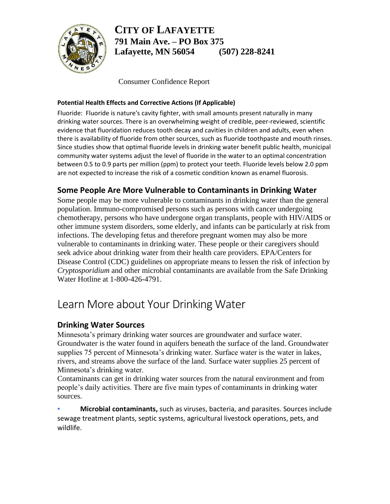

Consumer Confidence Report

#### **Potential Health Effects and Corrective Actions (If Applicable)**

Fluoride: Fluoride is nature's cavity fighter, with small amounts present naturally in many drinking water sources. There is an overwhelming weight of credible, peer-reviewed, scientific evidence that fluoridation reduces tooth decay and cavities in children and adults, even when there is availability of fluoride from other sources, such as fluoride toothpaste and mouth rinses. Since studies show that optimal fluoride levels in drinking water benefit public health, municipal community water systems adjust the level of fluoride in the water to an optimal concentration between 0.5 to 0.9 parts per million (ppm) to protect your teeth. Fluoride levels below 2.0 ppm are not expected to increase the risk of a cosmetic condition known as enamel fluorosis.

## **Some People Are More Vulnerable to Contaminants in Drinking Water**

Some people may be more vulnerable to contaminants in drinking water than the general population. Immuno-compromised persons such as persons with cancer undergoing chemotherapy, persons who have undergone organ transplants, people with HIV/AIDS or other immune system disorders, some elderly, and infants can be particularly at risk from infections. The developing fetus and therefore pregnant women may also be more vulnerable to contaminants in drinking water. These people or their caregivers should seek advice about drinking water from their health care providers. EPA/Centers for Disease Control (CDC) guidelines on appropriate means to lessen the risk of infection by *Cryptosporidium* and other microbial contaminants are available from the Safe Drinking Water Hotline at 1-800-426-4791.

# Learn More about Your Drinking Water

## **Drinking Water Sources**

Minnesota's primary drinking water sources are groundwater and surface water. Groundwater is the water found in aquifers beneath the surface of the land. Groundwater supplies 75 percent of Minnesota's drinking water. Surface water is the water in lakes, rivers, and streams above the surface of the land. Surface water supplies 25 percent of Minnesota's drinking water.

Contaminants can get in drinking water sources from the natural environment and from people's daily activities. There are five main types of contaminants in drinking water sources.

▪ **Microbial contaminants,** such as viruses, bacteria, and parasites. Sources include sewage treatment plants, septic systems, agricultural livestock operations, pets, and wildlife.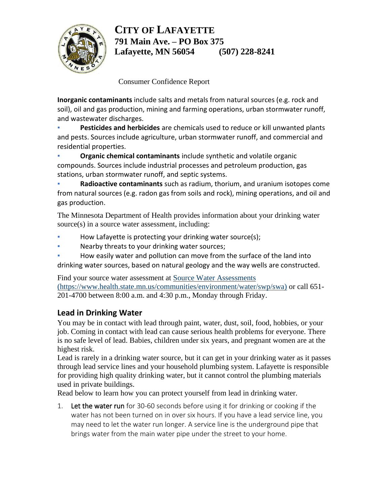

Consumer Confidence Report

**Inorganic contaminants** include salts and metals from natural sources (e.g. rock and soil), oil and gas production, mining and farming operations, urban stormwater runoff, and wastewater discharges.

Pesticides and herbicides are chemicals used to reduce or kill unwanted plants and pests. Sources include agriculture, urban stormwater runoff, and commercial and residential properties.

**Organic chemical contaminants** include synthetic and volatile organic compounds. Sources include industrial processes and petroleum production, gas stations, urban stormwater runoff, and septic systems.

Radioactive contaminants such as radium, thorium, and uranium isotopes come from natural sources (e.g. radon gas from soils and rock), mining operations, and oil and gas production.

The Minnesota Department of Health provides information about your drinking water source(s) in a source water assessment, including:

- How Lafayette is protecting your drinking water source(s);
- **Nearby threats to your drinking water sources;**
- How easily water and pollution can move from the surface of the land into drinking water sources, based on natural geology and the way wells are constructed.

Find your source water assessment at [Source Water Assessments](https://www.health.state.mn.us/communities/environment/water/swp/swa)  [\(https://www.health.state.mn.us/communities/environment/water/swp/swa\)](https://www.health.state.mn.us/communities/environment/water/swp/swa) or call 651- 201-4700 between 8:00 a.m. and 4:30 p.m., Monday through Friday.

## **Lead in Drinking Water**

You may be in contact with lead through paint, water, dust, soil, food, hobbies, or your job. Coming in contact with lead can cause serious health problems for everyone. There is no safe level of lead. Babies, children under six years, and pregnant women are at the highest risk.

Lead is rarely in a drinking water source, but it can get in your drinking water as it passes through lead service lines and your household plumbing system. Lafayette is responsible for providing high quality drinking water, but it cannot control the plumbing materials used in private buildings.

Read below to learn how you can protect yourself from lead in drinking water.

1. Let the water run for 30-60 seconds before using it for drinking or cooking if the water has not been turned on in over six hours. If you have a lead service line, you may need to let the water run longer. A service line is the underground pipe that brings water from the main water pipe under the street to your home.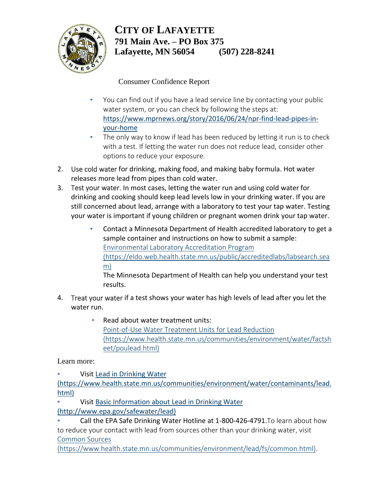

Consumer Confidence Report

- You can find out if you have a lead service line by contacting your public water system, or you can check by following the steps at: [https://www.mprnews.org/story/2016/06/24/npr-find-lead-pipes-in](https://www.mprnews.org/story/2016/06/24/npr-find-lead-pipes-in-your-home)[your-home](https://www.mprnews.org/story/2016/06/24/npr-find-lead-pipes-in-your-home)
- **·** The only way to know if lead has been reduced by letting it run is to check with a test. If letting the water run does not reduce lead, consider other options to reduce your exposure.
- 2. Use cold water for drinking, making food, and making baby formula. Hot water releases more lead from pipes than cold water.
- 3. Test your water. In most cases, letting the water run and using cold water for drinking and cooking should keep lead levels low in your drinking water. If you are still concerned about lead, arrange with a laboratory to test your tap water. Testing your water is important if young children or pregnant women drink your tap water.
	- **Contact a Minnesota Department of Health accredited laboratory to get a** sample container and instructions on how to submit a sample: [Environmental Laboratory Accreditation Program](https://eldo.web.health.state.mn.us/public/accreditedlabs/labsearch.seam)  [\(https://eldo.web.health.state.mn.us/public/accreditedlabs/labsearch.sea](https://eldo.web.health.state.mn.us/public/accreditedlabs/labsearch.seam) [m\)](https://eldo.web.health.state.mn.us/public/accreditedlabs/labsearch.seam)

The Minnesota Department of Health can help you understand your test results.

- 4. Treat your water if a test shows your water has high levels of lead after you let the water run.
	- Read about water treatment units: [Point-of-Use Water Treatment Units for Lead Reduction](https://www.health.state.mn.us/communities/environment/water/factsheet/poulead.html)  [\(https://www.health.state.mn.us/communities/environment/water/factsh](https://www.health.state.mn.us/communities/environment/water/factsheet/poulead.html) [eet/poulead.html\)](https://www.health.state.mn.us/communities/environment/water/factsheet/poulead.html)

Learn more:

Visit Lead in Drinking Water

[\(https://www.health.state.mn.us/communities/environment/water/contaminants/lead.](https://www.health.state.mn.us/communities/environment/water/contaminants/lead.html) [html\)](https://www.health.state.mn.us/communities/environment/water/contaminants/lead.html)

Visi[t Basic Information about Lead in Drinking Water](http://www.epa.gov/safewater/lead) [\(http://www.epa.gov/safewater/lead\)](http://www.epa.gov/safewater/lead)

Call the EPA Safe Drinking Water Hotline at 1-800-426-4791. To learn about how to reduce your contact with lead from sources other than your drinking water, visit [Common Sources](https://www.health.state.mn.us/communities/environment/lead/fs/common.html) 

[\(https://www.health.state.mn.us/communities/environment/lead/fs/common.html\).](https://www.health.state.mn.us/communities/environment/lead/fs/common.html)